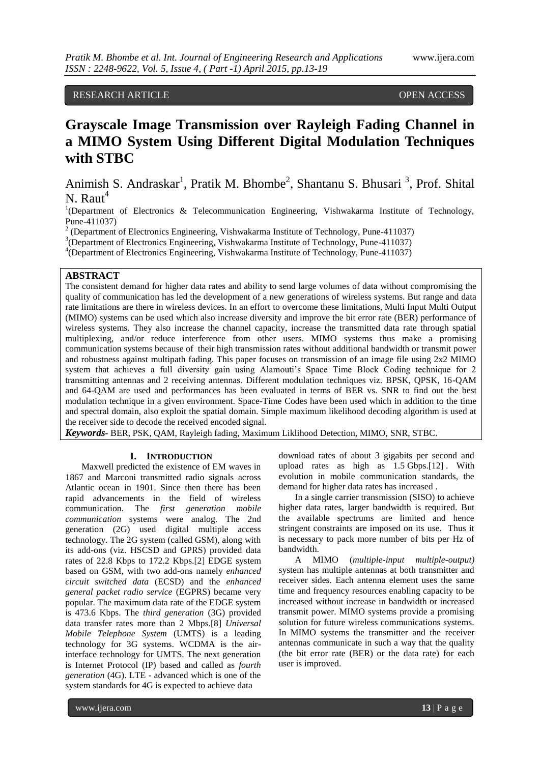RESEARCH ARTICLE OPEN ACCESS

# **Grayscale Image Transmission over Rayleigh Fading Channel in a MIMO System Using Different Digital Modulation Techniques with STBC**

Animish S. Andraskar<sup>1</sup>, Pratik M. Bhombe<sup>2</sup>, Shantanu S. Bhusari<sup>3</sup>, Prof. Shital  $N.$  Raut<sup>4</sup>

<sup>1</sup>(Department of Electronics & Telecommunication Engineering, Vishwakarma Institute of Technology, Pune-411037)

 $2$  (Department of Electronics Engineering, Vishwakarma Institute of Technology, Pune-411037)

3 (Department of Electronics Engineering, Vishwakarma Institute of Technology, Pune-411037)

4 (Department of Electronics Engineering, Vishwakarma Institute of Technology, Pune-411037)

# **ABSTRACT**

The consistent demand for higher data rates and ability to send large volumes of data without compromising the quality of communication has led the development of a new generations of wireless systems. But range and data rate limitations are there in wireless devices. In an effort to overcome these limitations, Multi Input Multi Output (MIMO) systems can be used which also increase diversity and improve the bit error rate (BER) performance of wireless systems. They also increase the channel capacity, increase the transmitted data rate through spatial multiplexing, and/or reduce interference from other users. MIMO systems thus make a promising communication systems because of their high transmission rates without additional bandwidth or transmit power and robustness against multipath fading. This paper focuses on transmission of an image file using 2x2 MIMO system that achieves a full diversity gain using Alamouti's Space Time Block Coding technique for 2 transmitting antennas and 2 receiving antennas. Different modulation techniques viz. BPSK, QPSK, 16-QAM and 64-QAM are used and performances has been evaluated in terms of BER vs. SNR to find out the best modulation technique in a given environment. Space-Time Codes have been used which in addition to the time and spectral domain, also exploit the spatial domain. Simple maximum likelihood decoding algorithm is used at the receiver side to decode the received encoded signal.

*Keywords***-** BER, PSK, QAM, Rayleigh fading, Maximum Liklihood Detection, MIMO, SNR, STBC.

## **I. INTRODUCTION**

Maxwell predicted the existence of EM waves in 1867 and Marconi transmitted radio signals across Atlantic ocean in 1901. Since then there has been rapid advancements in the field of wireless communication. The *first generation mobile communication* systems were analog. The 2nd generation (2G) used digital multiple access technology. The 2G system (called GSM), along with its add-ons (viz. HSCSD and GPRS) provided data rates of 22.8 Kbps to 172.2 Kbps.[2] EDGE system based on GSM, with two add-ons namely *enhanced circuit switched data* (ECSD) and the *enhanced general packet radio service* (EGPRS) became very popular. The maximum data rate of the EDGE system is 473.6 Kbps. The *third generation* (3G) provided data transfer rates more than 2 Mbps.[8] *Universal Mobile Telephone System* (UMTS) is a leading technology for 3G systems. WCDMA is the airinterface technology for UMTS. The next generation is Internet Protocol (IP) based and called as *fourth generation* (4G). LTE - advanced which is one of the system standards for 4G is expected to achieve data

download rates of about 3 gigabits per second and upload rates as high as 1.5 Gbps.[12] . With evolution in mobile communication standards, the demand for higher data rates has increased .

In a single carrier transmission (SISO) to achieve higher data rates, larger bandwidth is required. But the available spectrums are limited and hence stringent constraints are imposed on its use. Thus it is necessary to pack more number of bits per Hz of bandwidth.

A MIMO (*multiple-input multiple-output)*  system has multiple antennas at both transmitter and receiver sides. Each antenna element uses the same time and frequency resources enabling capacity to be increased without increase in bandwidth or increased transmit power. MIMO systems provide a promising solution for future wireless communications systems. In MIMO systems the transmitter and the receiver antennas communicate in such a way that the quality (the bit error rate (BER) or the data rate) for each user is improved.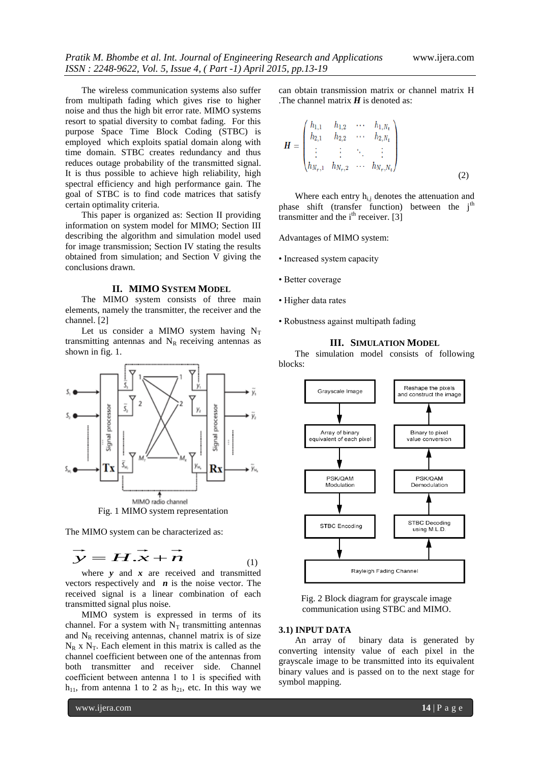The wireless communication systems also suffer from multipath fading which gives rise to higher noise and thus the high bit error rate. MIMO systems resort to spatial diversity to combat fading. For this purpose Space Time Block Coding (STBC) is employed which exploits spatial domain along with time domain. STBC creates redundancy and thus reduces outage probability of the transmitted signal. It is thus possible to achieve high reliability, high spectral efficiency and high performance gain. The goal of STBC is to find code matrices that satisfy certain optimality criteria.

This paper is organized as: Section II providing information on system model for MIMO; Section III describing the algorithm and simulation model used for image transmission; Section IV stating the results obtained from simulation; and Section V giving the conclusions drawn.

#### **II. MIMO SYSTEM MODEL**

The MIMO system consists of three main elements, namely the transmitter, the receiver and the channel. [2]

Let us consider a MIMO system having  $N_T$ transmitting antennas and  $N_R$  receiving antennas as shown in fig. 1.



Fig. 1 MIMO system representation

The MIMO system can be characterized as:

$$
\vec{y} = \vec{H} \cdot \vec{x} + \vec{n}
$$
 (1)

where *y* and *x* are received and transmitted vectors respectively and  $\boldsymbol{n}$  is the noise vector. The received signal is a linear combination of each transmitted signal plus noise.

MIMO system is expressed in terms of its channel. For a system with  $N_T$  transmitting antennas and  $N_R$  receiving antennas, channel matrix is of size  $N_R$  x  $N_T$ . Each element in this matrix is called as the channel coefficient between one of the antennas from both transmitter and receiver side. Channel coefficient between antenna 1 to 1 is specified with  $h_{11}$ , from antenna 1 to 2 as  $h_{21}$ , etc. In this way we

can obtain transmission matrix or channel matrix H . The channel matrix  $H$  is denoted as:

$$
\boldsymbol{H} = \begin{pmatrix} h_{1,1} & h_{1,2} & \cdots & h_{1,N_t} \\ h_{2,1} & h_{2,2} & \cdots & h_{2,N_t} \\ \vdots & \vdots & \ddots & \vdots \\ h_{N_r,1} & h_{N_r,2} & \cdots & h_{N_r,N_t} \end{pmatrix}
$$
(2)

Where each entry  $h_{i,j}$  denotes the attenuation and phase shift (transfer function) between the  $j<sup>th</sup>$ transmitter and the  $i<sup>th</sup>$  receiver. [3]

Advantages of MIMO system:

- Increased system capacity
- Better coverage
- Higher data rates
- Robustness against multipath fading

## **III. SIMULATION MODEL**

The simulation model consists of following blocks:



Fig. 2 Block diagram for grayscale image communication using STBC and MIMO.

## **3.1) INPUT DATA**

An array of binary data is generated by converting intensity value of each pixel in the grayscale image to be transmitted into its equivalent binary values and is passed on to the next stage for symbol mapping.

www.ijera.com **14** | P a g e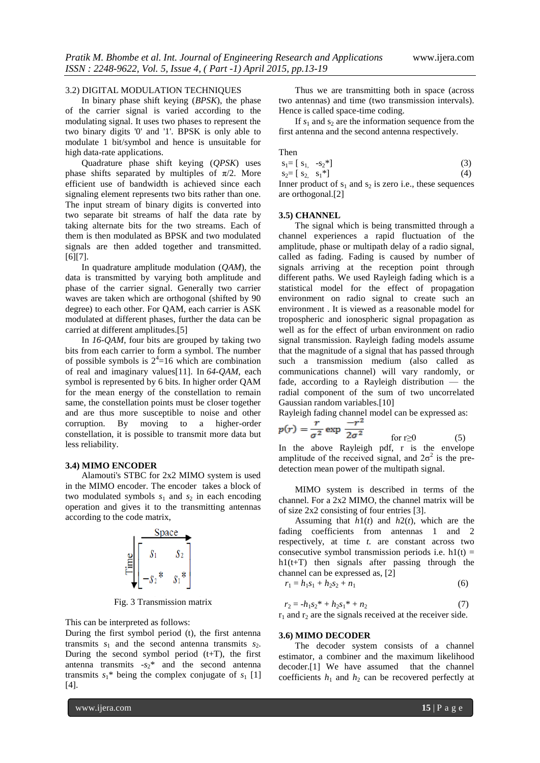# 3.2) DIGITAL MODULATION TECHNIQUES

In binary phase shift keying (*BPSK*), the phase of the carrier signal is varied according to the modulating signal. It uses two phases to represent the two binary digits '0' and '1'. BPSK is only able to modulate 1 bit/symbol and hence is unsuitable for high data-rate applications.

Quadrature phase shift keying (*QPSK*) uses phase shifts separated by multiples of  $\pi/2$ . More efficient use of bandwidth is achieved since each signaling element represents two bits rather than one. The input stream of binary digits is converted into two separate bit streams of half the data rate by taking alternate bits for the two streams. Each of them is then modulated as BPSK and two modulated signals are then added together and transmitted. [6][7].

In quadrature amplitude modulation (*QAM*), the data is transmitted by varying both amplitude and phase of the carrier signal. Generally two carrier waves are taken which are orthogonal (shifted by 90 degree) to each other. For QAM, each carrier is ASK modulated at different phases, further the data can be carried at different amplitudes.[5]

In *16-QAM*, four bits are grouped by taking two bits from each carrier to form a symbol. The number of possible symbols is  $2^4$ =16 which are combination of real and imaginary values[11]. In *64-QAM*, each symbol is represented by 6 bits. In higher order QAM for the mean energy of the constellation to remain same, the constellation points must be closer together and are thus more susceptible to noise and other corruption. By moving to a higher-order constellation, it is possible to transmit more data but less reliability.

#### **3.4) MIMO ENCODER**

Alamouti's STBC for 2x2 MIMO system is used in the MIMO encoder. The encoder takes a block of two modulated symbols  $s_1$  and  $s_2$  in each encoding operation and gives it to the transmitting antennas according to the code matrix,



Fig. 3 Transmission matrix

This can be interpreted as follows:

During the first symbol period (t), the first antenna transmits  $s_1$  and the second antenna transmits  $s_2$ . During the second symbol period  $(t+T)$ , the first antenna transmits  $-s_2$ <sup>\*</sup> and the second antenna transmits  $s_1^*$  being the complex conjugate of  $s_1$  [1] [4].

Thus we are transmitting both in space (across two antennas) and time (two transmission intervals). Hence is called space-time coding.

If  $s_1$  and  $s_2$  are the information sequence from the first antenna and the second antenna respectively.

Then

$$
s_1 = [s_1, -s_2^*]
$$
  
\n
$$
s_2 = [s_2, s_1^*]
$$
  
\n(3)  
\n(4)

Inner product of  $s_1$  and  $s_2$  is zero i.e., these sequences are orthogonal.[2]

#### **3.5) CHANNEL**

The signal which is being transmitted through a channel experiences a rapid fluctuation of the amplitude, phase or multipath delay of a radio signal, called as fading. Fading is caused by number of signals arriving at the reception point through different paths. We used Rayleigh fading which is a statistical model for the effect of propagation environment on radio signal to create such an environment . It is viewed as a reasonable model for tropospheric and ionospheric signal propagation as well as for the effect of urban environment on radio signal transmission. Rayleigh fading models assume that the magnitude of a signal that has passed through such a transmission medium (also called as communications channel) will vary randomly, or fade, according to a Rayleigh distribution — the radial component of the sum of two uncorrelated Gaussian random variables.[10]

Rayleigh fading channel model can be expressed as:

$$
p(r) = \frac{r}{\sigma^2} \exp \frac{-r}{2\sigma^2} \qquad \text{for } r \ge 0 \tag{5}
$$

In the above Rayleigh pdf, r is the envelope amplitude of the received signal, and  $2\sigma^2$  is the predetection mean power of the multipath signal.

MIMO system is described in terms of the channel. For a 2x2 MIMO, the channel matrix will be of size 2x2 consisting of four entries [3].

Assuming that  $h1(t)$  and  $h2(t)$ , which are the fading coefficients from antennas 1 and 2 respectively, at time *t.* are constant across two consecutive symbol transmission periods i.e.  $h1(t) =$  $h1(t+T)$  then signals after passing through the channel can be expressed as, [2]

$$
r_1 = h_1 s_1 + h_2 s_2 + n_1 \tag{6}
$$

 $r_2 = -h_1 s_2^* + h_2 s_1^* + n_2$  (7)  $r_1$  and  $r_2$  are the signals received at the receiver side.

#### **3.6) MIMO DECODER**

The decoder system consists of a channel estimator, a combiner and the maximum likelihood decoder.[1] We have assumed that the channel coefficients  $h_1$  and  $h_2$  can be recovered perfectly at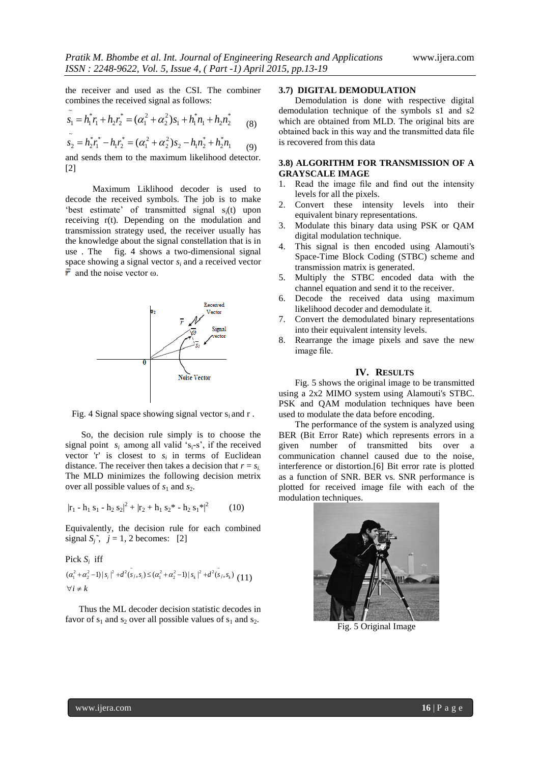the receiver and used as the CSI. The combiner combines the received signal as follows:

$$
\tilde{s_1} = h_1^* r_1 + h_2 r_2^* = (\alpha_1^2 + \alpha_2^2) s_1 + h_1^* n_1 + h_2 n_2^*
$$
 (8)

$$
\tilde{s}_2 = h_2^* r_1^* - h_1 r_2^* = (\alpha_1^2 + \alpha_2^2) s_2 - h_1 n_2^* + h_2 n_1 \tag{9}
$$

and sends them to the maximum likelihood detector. [2]

 Maximum Liklihood decoder is used to decode the received symbols. The job is to make 'best estimate' of transmitted signal  $s_i(t)$  upon receiving r(t). Depending on the modulation and transmission strategy used, the receiver usually has the knowledge about the signal constellation that is in use . The fig. 4 shows a two-dimensional signal space showing a signal vector *s<sup>i</sup>* and a received vector  $\bar{r}$  and the noise vector  $\omega$ .



Fig. 4 Signal space showing signal vector  $s_i$  and r.

 So, the decision rule simply is to choose the signal point  $s_i$  among all valid 's<sub>i</sub>-s', if the received vector  $r'$  is closest to  $s_i$  in terms of Euclidean distance. The receiver then takes a decision that  $r = s_i$ . The MLD minimizes the following decision metrix over all possible values of  $s_1$  and  $s_2$ .

$$
|\mathbf{r}_1 - \mathbf{h}_1 \mathbf{s}_1 - \mathbf{h}_2 \mathbf{s}_2|^2 + |\mathbf{r}_2 + \mathbf{h}_1 \mathbf{s}_2^* - \mathbf{h}_2 \mathbf{s}_1^*|^2
$$
 (10)

Equivalently, the decision rule for each combined signal  $S_i^*$ ,  $j = 1, 2$  becomes: [2]

# Pick  $S_i$  iff

$$
(\alpha_1^2 + \alpha_2^2 - 1)|s_i|^2 + d^2(\tilde{s}_j, s_i) \leq (\alpha_1^2 + \alpha_2^2 - 1)|s_k|^2 + d^2(\tilde{s}_j, s_k)
$$
 (11)

 Thus the ML decoder decision statistic decodes in favor of  $s_1$  and  $s_2$  over all possible values of  $s_1$  and  $s_2$ .

# **3.7) DIGITAL DEMODULATION**

Demodulation is done with respective digital demodulation technique of the symbols s1 and s2 which are obtained from MLD. The original bits are obtained back in this way and the transmitted data file is recovered from this data

# **3.8) ALGORITHM FOR TRANSMISSION OF A GRAYSCALE IMAGE**

- 1. Read the image file and find out the intensity levels for all the pixels.
- 2. Convert these intensity levels into their equivalent binary representations.
- 3. Modulate this binary data using PSK or QAM digital modulation technique.
- 4. This signal is then encoded using Alamouti's Space-Time Block Coding (STBC) scheme and transmission matrix is generated.
- 5. Multiply the STBC encoded data with the channel equation and send it to the receiver.
- 6. Decode the received data using maximum likelihood decoder and demodulate it.
- 7. Convert the demodulated binary representations into their equivalent intensity levels.
- 8. Rearrange the image pixels and save the new image file.

## **IV. RESULTS**

Fig. 5 shows the original image to be transmitted using a 2x2 MIMO system using Alamouti's STBC. PSK and QAM modulation techniques have been used to modulate the data before encoding.

The performance of the system is analyzed using BER (Bit Error Rate) which represents errors in a given number of transmitted bits over a communication channel caused due to the noise, interference or distortion.[6] Bit error rate is plotted as a function of SNR. BER vs. SNR performance is plotted for received image file with each of the modulation techniques.



Fig. 5 Original Image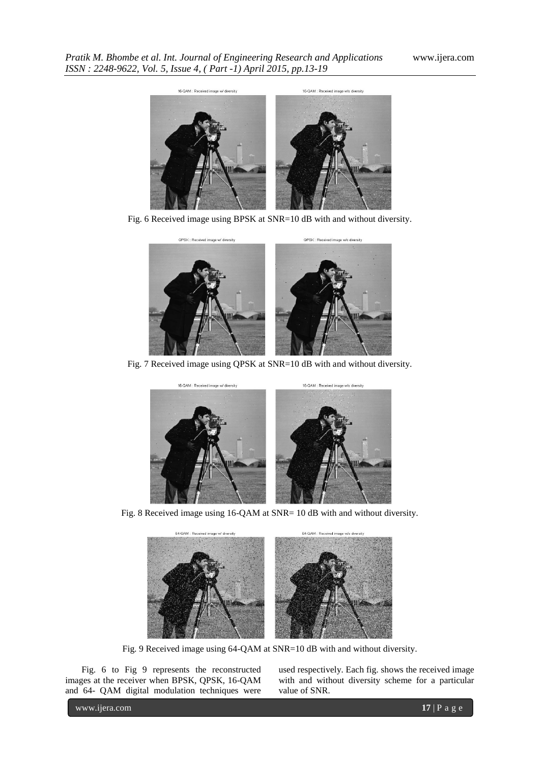

Fig. 6 Received image using BPSK at SNR=10 dB with and without diversity.



Fig. 7 Received image using QPSK at SNR=10 dB with and without diversity.



Fig. 8 Received image using 16-QAM at SNR= 10 dB with and without diversity.



Fig. 9 Received image using 64-QAM at SNR=10 dB with and without diversity.

Fig. 6 to Fig 9 represents the reconstructed images at the receiver when BPSK, QPSK, 16-QAM and 64- QAM digital modulation techniques were

used respectively. Each fig. shows the received image with and without diversity scheme for a particular value of SNR.

www.ijera.com **17** | P a g e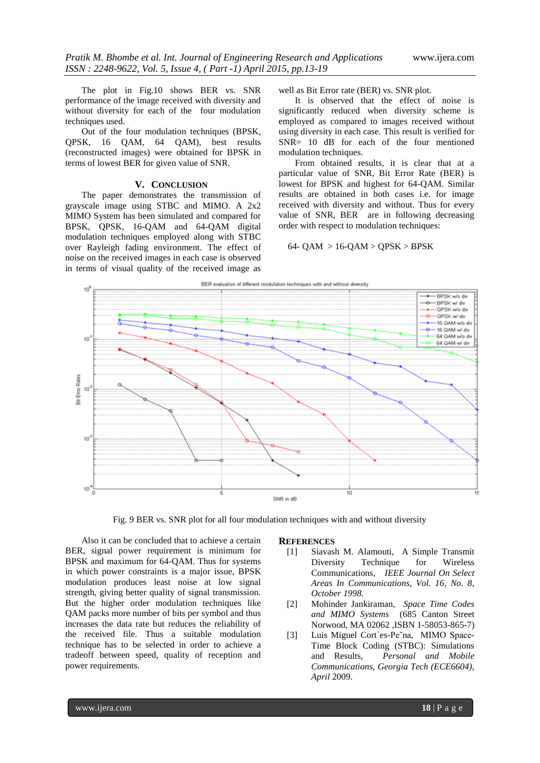The plot in Fig.10 shows BER vs. SNR performance of the image received with diversity and without diversity for each of the four modulation techniques used.

Out of the four modulation techniques (BPSK, QPSK, 16 QAM, 64 QAM), best results (reconstructed images) were obtained for BPSK in terms of lowest BER for given value of SNR.

## **V. CONCLUSION**

The paper demonstrates the transmission of grayscale image using STBC and MIMO. A 2x2 MIMO System has been simulated and compared for BPSK, QPSK, 16-QAM and 64-QAM digital modulation techniques employed along with STBC over Rayleigh fading environment. The effect of noise on the received images in each case is observed in terms of visual quality of the received image as

well as Bit Error rate (BER) vs. SNR plot.

It is observed that the effect of noise is significantly reduced when diversity scheme is employed as compared to images received without using diversity in each case. This result is verified for SNR= 10 dB for each of the four mentioned modulation techniques.

From obtained results, it is clear that at a particular value of SNR, Bit Error Rate (BER) is lowest for BPSK and highest for 64-QAM. Similar results are obtained in both cases i.e. for image received with diversity and without. Thus for every value of SNR, BER are in following decreasing order with respect to modulation techniques:

## $64 - QAM > 16-QAM > QPSK > BPSK$



Fig. 9 BER vs. SNR plot for all four modulation techniques with and without diversity

Also it can be concluded that to achieve a certain BER, signal power requirement is minimum for BPSK and maximum for 64-QAM. Thus for systems in which power constraints is a major issue, BPSK modulation produces least noise at low signal strength, giving better quality of signal transmission. But the higher order modulation techniques like QAM packs more number of bits per symbol and thus increases the data rate but reduces the reliability of the received file. Thus a suitable modulation technique has to be selected in order to achieve a tradeoff between speed, quality of reception and power requirements.

#### **REFERENCES**

- [1] Siavash M. Alamouti, A Simple Transmit Diversity Technique for Wireless Communications, *IEEE Journal On Select Areas In Communications, Vol. 16, No. 8, October 1998.*
- [2] Mohinder Jankiraman*, Space Time Codes and MIMO Systems* (685 Canton Street Norwood, MA 02062 ,ISBN 1-58053-865-7)
- [3] Luis Miguel Cort´es-Pe˜na, MIMO Space-Time Block Coding (STBC): Simulations and Results, *Personal and Mobile Communications, Georgia Tech (ECE6604), April* 2009.